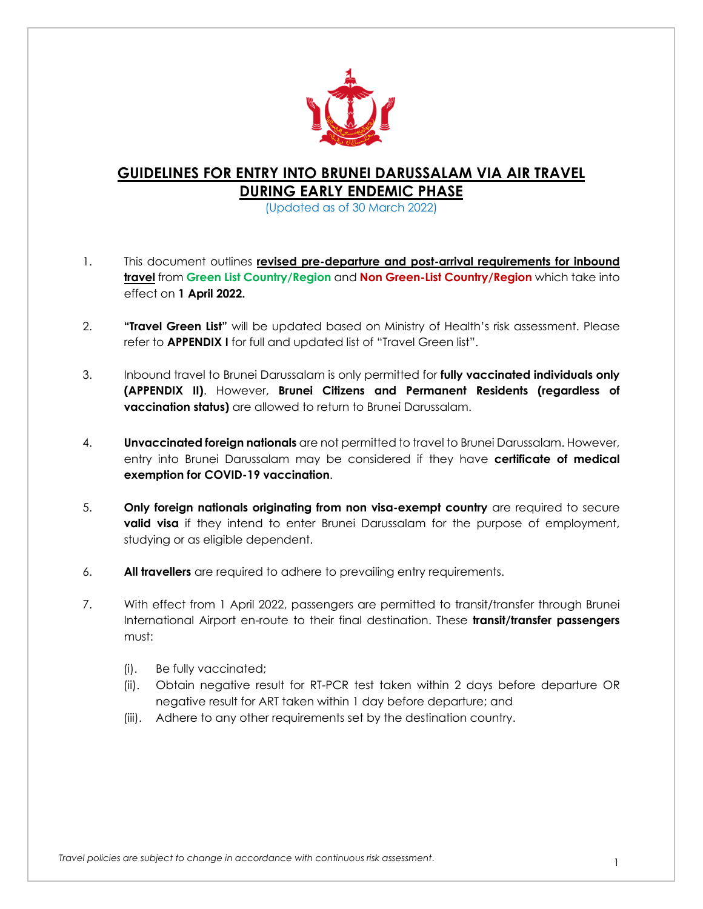

## **GUIDELINES FOR ENTRY INTO BRUNEI DARUSSALAM VIA AIR TRAVEL DURING EARLY ENDEMIC PHASE**

(Updated as of 30 March 2022)

- 1. This document outlines **revised pre-departure and post-arrival requirements for inbound travel** from **Green List Country/Region** and **Non Green-List Country/Region** which take into effect on **1 April 2022.**
- 2. **"Travel Green List"** will be updated based on Ministry of Health's risk assessment. Please refer to **APPENDIX I** for full and updated list of "Travel Green list".
- 3. Inbound travel to Brunei Darussalam is only permitted for **fully vaccinated individuals only (APPENDIX II)**. However, **Brunei Citizens and Permanent Residents (regardless of vaccination status)** are allowed to return to Brunei Darussalam.
- 4. **Unvaccinated foreign nationals** are not permitted to travel to Brunei Darussalam. However, entry into Brunei Darussalam may be considered if they have **certificate of medical exemption for COVID-19 vaccination**.
- 5. **Only foreign nationals originating from non visa-exempt country** are required to secure **valid visa** if they intend to enter Brunei Darussalam for the purpose of employment, studying or as eligible dependent.
- 6. **All travellers** are required to adhere to prevailing entry requirements.
- 7. With effect from 1 April 2022, passengers are permitted to transit/transfer through Brunei International Airport en-route to their final destination. These **transit/transfer passengers** must:
	- (i). Be fully vaccinated;
	- (ii). Obtain negative result for RT-PCR test taken within 2 days before departure OR negative result for ART taken within 1 day before departure; and
	- (iii). Adhere to any other requirements set by the destination country.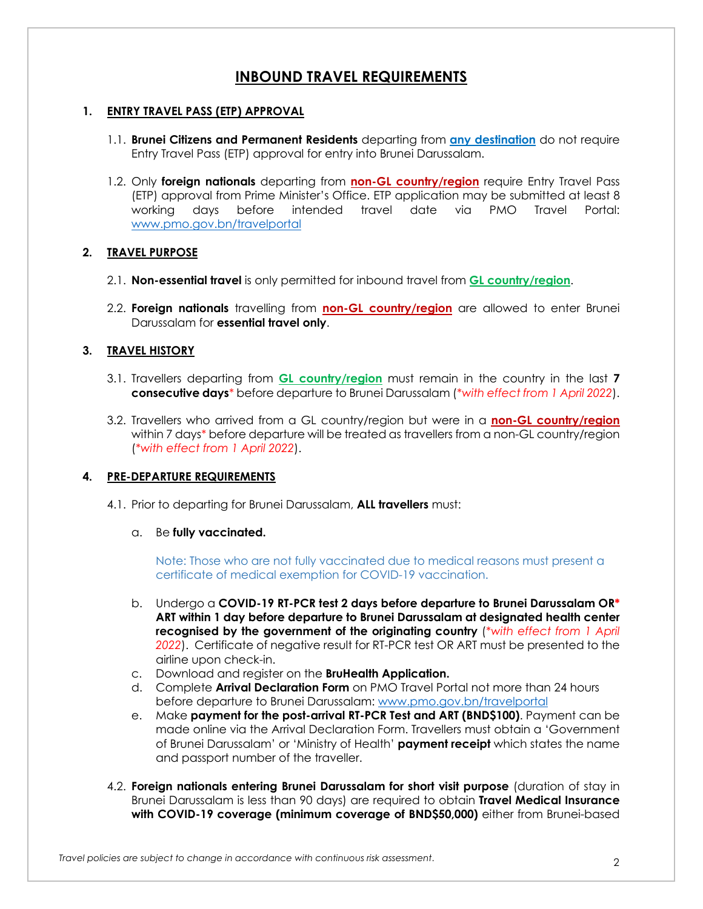## **INBOUND TRAVEL REQUIREMENTS**

#### **1. ENTRY TRAVEL PASS (ETP) APPROVAL**

- 1.1. **Brunei Citizens and Permanent Residents** departing from **any destination** do not require Entry Travel Pass (ETP) approval for entry into Brunei Darussalam.
- 1.2. Only **foreign nationals** departing from **non-GL country/region** require Entry Travel Pass (ETP) approval from Prime Minister's Office. ETP application may be submitted at least 8 working days before intended travel date via PMO Travel Portal: www.pmo.gov.bn/travelportal

#### **2. TRAVEL PURPOSE**

- 2.1. **Non-essential travel** is only permitted for inbound travel from **GL country/region**.
- 2.2. **Foreign nationals** travelling from **non-GL country/region** are allowed to enter Brunei Darussalam for **essential travel only**.

#### **3. TRAVEL HISTORY**

- 3.1. Travellers departing from **GL country/region** must remain in the country in the last **7 consecutive days**\* before departure to Brunei Darussalam (*\*with effect from 1 April 2022*).
- 3.2. Travellers who arrived from a GL country/region but were in a **non-GL country/region** within 7 days\* before departure will be treated as travellers from a non-GL country/region (*\*with effect from 1 April 2022*).

### **4. PRE-DEPARTURE REQUIREMENTS**

4.1. Prior to departing for Brunei Darussalam, **ALL travellers** must:

#### a. Be **fully vaccinated.**

Note: Those who are not fully vaccinated due to medical reasons must present a certificate of medical exemption for COVID-19 vaccination.

- b. Undergo a **COVID-19 RT-PCR test 2 days before departure to Brunei Darussalam OR\* ART within 1 day before departure to Brunei Darussalam at designated health center recognised by the government of the originating country** (*\*with effect from 1 April 2022*). Certificate of negative result for RT-PCR test OR ART must be presented to the airline upon check-in.
- c. Download and register on the **BruHealth Application.**
- d. Complete **Arrival Declaration Form** on PMO Travel Portal not more than 24 hours before departure to Brunei Darussalam: www.pmo.gov.bn/travelportal
- e. Make **payment for the post-arrival RT-PCR Test and ART (BND\$100)**. Payment can be made online via the Arrival Declaration Form. Travellers must obtain a 'Government of Brunei Darussalam' or 'Ministry of Health' **payment receipt** which states the name and passport number of the traveller.
- 4.2. **Foreign nationals entering Brunei Darussalam for short visit purpose** (duration of stay in Brunei Darussalam is less than 90 days) are required to obtain **Travel Medical Insurance with COVID-19 coverage (minimum coverage of BND\$50,000)** either from Brunei-based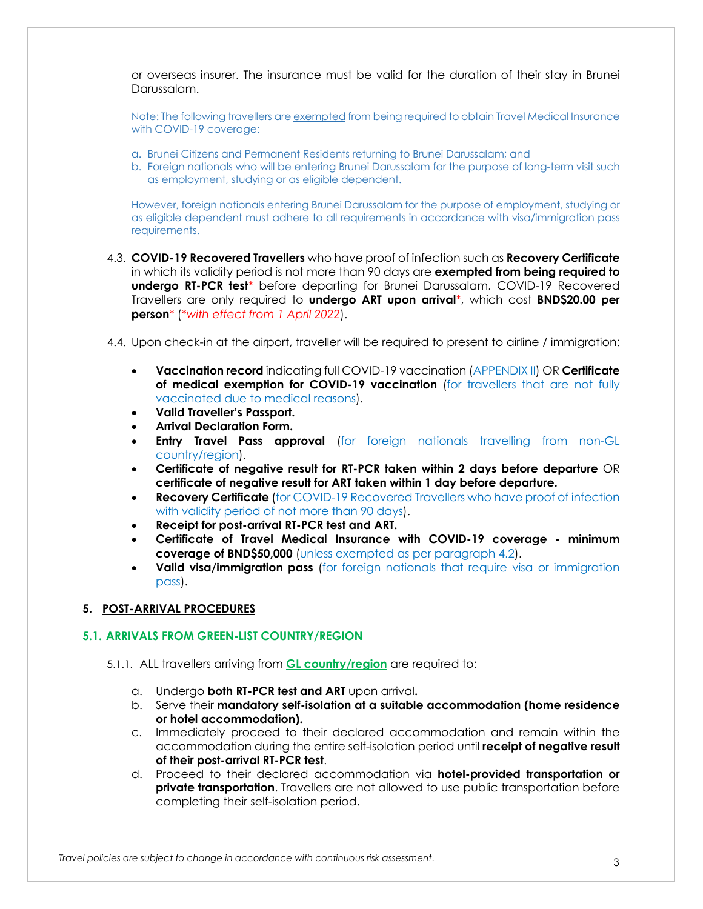or overseas insurer. The insurance must be valid for the duration of their stay in Brunei Darussalam.

Note: The following travellers are exempted from being required to obtain Travel Medical Insurance with COVID-19 coverage:

- a. Brunei Citizens and Permanent Residents returning to Brunei Darussalam; and
- b. Foreign nationals who will be entering Brunei Darussalam for the purpose of long-term visit such as employment, studying or as eligible dependent.

However, foreign nationals entering Brunei Darussalam for the purpose of employment, studying or as eligible dependent must adhere to all requirements in accordance with visa/immigration pass requirements.

- 4.3. **COVID-19 Recovered Travellers** who have proof of infection such as **Recovery Certificate** in which its validity period is not more than 90 days are **exempted from being required to undergo RT-PCR test***\** before departing for Brunei Darussalam. COVID-19 Recovered Travellers are only required to **undergo ART upon arrival***\**, which cost **BND\$20.00 per person***\** (*\*with effect from 1 April 2022*).
- 4.4. Upon check-in at the airport, traveller will be required to present to airline / immigration:
	- **Vaccination record** indicating full COVID-19 vaccination (APPENDIX II) OR **Certificate of medical exemption for COVID-19 vaccination** (for travellers that are not fully vaccinated due to medical reasons).
	- **Valid Traveller's Passport.**
	- **Arrival Declaration Form.**
	- **Entry Travel Pass approval** (for foreign nationals travelling from non-GL country/region).
	- **Certificate of negative result for RT-PCR taken within 2 days before departure** OR **certificate of negative result for ART taken within 1 day before departure.**
	- **Recovery Certificate** (for COVID-19 Recovered Travellers who have proof of infection with validity period of not more than 90 days).
	- **Receipt for post-arrival RT-PCR test and ART.**
	- **Certificate of Travel Medical Insurance with COVID-19 coverage - minimum coverage of BND\$50,000** (unless exempted as per paragraph 4.2).
	- **Valid visa/immigration pass** (for foreign nationals that require visa or immigration pass).

#### **5. POST-ARRIVAL PROCEDURES**

#### **5.1. ARRIVALS FROM GREEN-LIST COUNTRY/REGION**

- 5.1.1. ALL travellers arriving from **GL country/region** are required to:
	- a. Undergo **both RT-PCR test and ART** upon arrival**.**
	- b. Serve their **mandatory self-isolation at a suitable accommodation (home residence or hotel accommodation).**
	- c. Immediately proceed to their declared accommodation and remain within the accommodation during the entire self-isolation period until **receipt of negative result of their post-arrival RT-PCR test**.
	- d. Proceed to their declared accommodation via **hotel-provided transportation or private transportation**. Travellers are not allowed to use public transportation before completing their self-isolation period.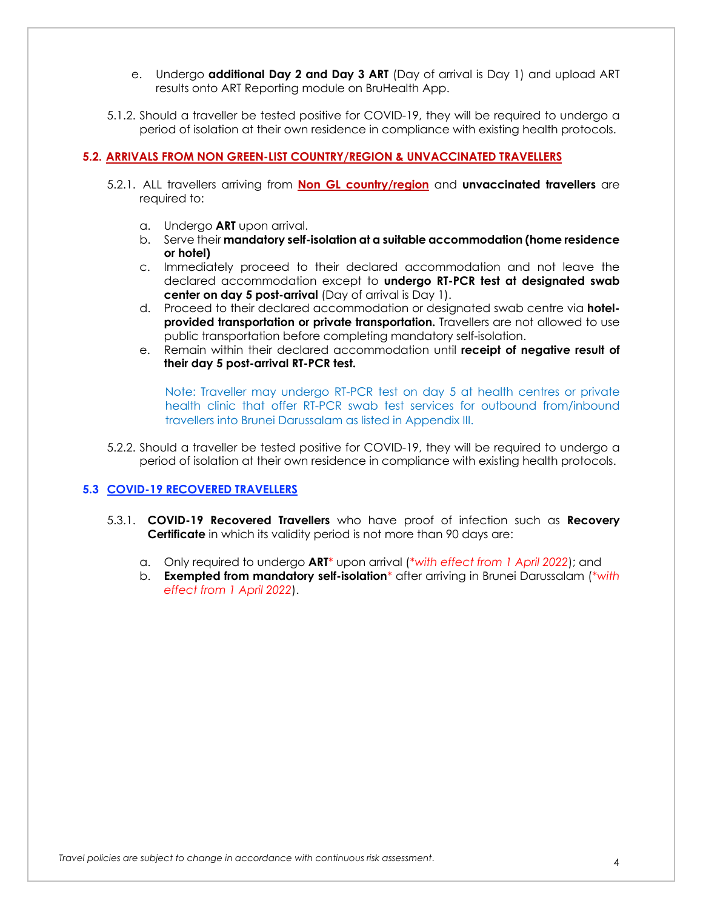- e. Undergo **additional Day 2 and Day 3 ART** (Day of arrival is Day 1) and upload ART results onto ART Reporting module on BruHealth App.
- 5.1.2. Should a traveller be tested positive for COVID-19, they will be required to undergo a period of isolation at their own residence in compliance with existing health protocols.

#### **5.2. ARRIVALS FROM NON GREEN-LIST COUNTRY/REGION & UNVACCINATED TRAVELLERS**

- 5.2.1. ALL travellers arriving from **Non GL country/region** and **unvaccinated travellers** are required to:
	- a. Undergo **ART** upon arrival.
	- b. Serve their **mandatory self-isolation at a suitable accommodation (home residence or hotel)**
	- c. Immediately proceed to their declared accommodation and not leave the declared accommodation except to **undergo RT-PCR test at designated swab center on day 5 post-arrival** (Day of arrival is Day 1).
	- d. Proceed to their declared accommodation or designated swab centre via **hotelprovided transportation or private transportation.** Travellers are not allowed to use public transportation before completing mandatory self-isolation.
	- e. Remain within their declared accommodation until **receipt of negative result of their day 5 post-arrival RT-PCR test.**

Note: Traveller may undergo RT-PCR test on day 5 at health centres or private health clinic that offer RT-PCR swab test services for outbound from/inbound travellers into Brunei Darussalam as listed in Appendix III.

5.2.2. Should a traveller be tested positive for COVID-19, they will be required to undergo a period of isolation at their own residence in compliance with existing health protocols.

#### **5.3 COVID-19 RECOVERED TRAVELLERS**

- 5.3.1. **COVID-19 Recovered Travellers** who have proof of infection such as **Recovery Certificate** in which its validity period is not more than 90 days are:
	- a. Only required to undergo **ART***\** upon arrival (*\*with effect from 1 April 2022*); and
	- b. **Exempted from mandatory self-isolation***\** after arriving in Brunei Darussalam (*\*with effect from 1 April 2022*).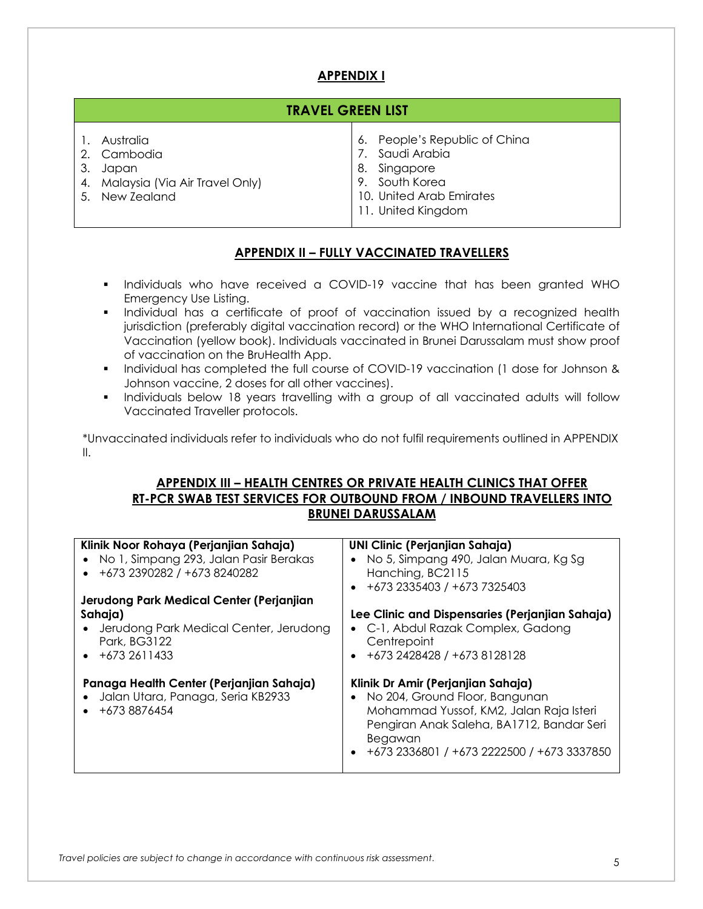## **APPENDIX I**

| <b>TRAVEL GREEN LIST</b>                                                                       |  |                                                                                                                                      |  |  |  |
|------------------------------------------------------------------------------------------------|--|--------------------------------------------------------------------------------------------------------------------------------------|--|--|--|
| 1. Australia<br>2. Cambodia<br>3. Japan<br>4. Malaysia (Via Air Travel Only)<br>5. New Zealand |  | 6. People's Republic of China<br>7. Saudi Arabia<br>8. Singapore<br>9. South Korea<br>10. United Arab Emirates<br>11. United Kingdom |  |  |  |

### **APPENDIX II – FULLY VACCINATED TRAVELLERS**

- § Individuals who have received a COVID-19 vaccine that has been granted WHO Emergency Use Listing.
- § Individual has a certificate of proof of vaccination issued by a recognized health jurisdiction (preferably digital vaccination record) or the WHO International Certificate of Vaccination (yellow book). Individuals vaccinated in Brunei Darussalam must show proof of vaccination on the BruHealth App.
- § Individual has completed the full course of COVID-19 vaccination (1 dose for Johnson & Johnson vaccine, 2 doses for all other vaccines).
- Individuals below 18 years travelling with a group of all vaccinated adults will follow Vaccinated Traveller protocols.

\*Unvaccinated individuals refer to individuals who do not fulfil requirements outlined in APPENDIX II.

### **APPENDIX III – HEALTH CENTRES OR PRIVATE HEALTH CLINICS THAT OFFER RT-PCR SWAB TEST SERVICES FOR OUTBOUND FROM / INBOUND TRAVELLERS INTO BRUNEI DARUSSALAM**

| Klinik Noor Rohaya (Perjanjian Sahaja)<br>• No 1, Simpang 293, Jalan Pasir Berakas<br>$+6732390282/+6738240282$                                      | <b>UNI Clinic (Perjanjian Sahaja)</b><br>No 5, Simpang 490, Jalan Muara, Kg Sg<br>Hanching, BC2115<br>+673 2335403 / +673 7325403                                                                                     |  |  |  |
|------------------------------------------------------------------------------------------------------------------------------------------------------|-----------------------------------------------------------------------------------------------------------------------------------------------------------------------------------------------------------------------|--|--|--|
| Jerudong Park Medical Center (Perjanjian<br>Sahaja)<br>Jerudong Park Medical Center, Jerudong<br>$\bullet$<br>Park, BG3122<br>$\bullet$ +673 2611433 | Lee Clinic and Dispensaries (Perjanjian Sahaja)<br>• C-1, Abdul Razak Complex, Gadong<br>Centrepoint<br>+673 2428428 / +673 8128128                                                                                   |  |  |  |
| Panaga Health Center (Perjanjian Sahaja)<br>Jalan Utara, Panaga, Seria KB2933<br>+673 8876454                                                        | Klinik Dr Amir (Perjanjian Sahaja)<br>No 204, Ground Floor, Bangunan<br>Mohammad Yussof, KM2, Jalan Raja Isteri<br>Pengiran Anak Saleha, BA1712, Bandar Seri<br>Begawan<br>+673 2336801 / +673 2222500 / +673 3337850 |  |  |  |